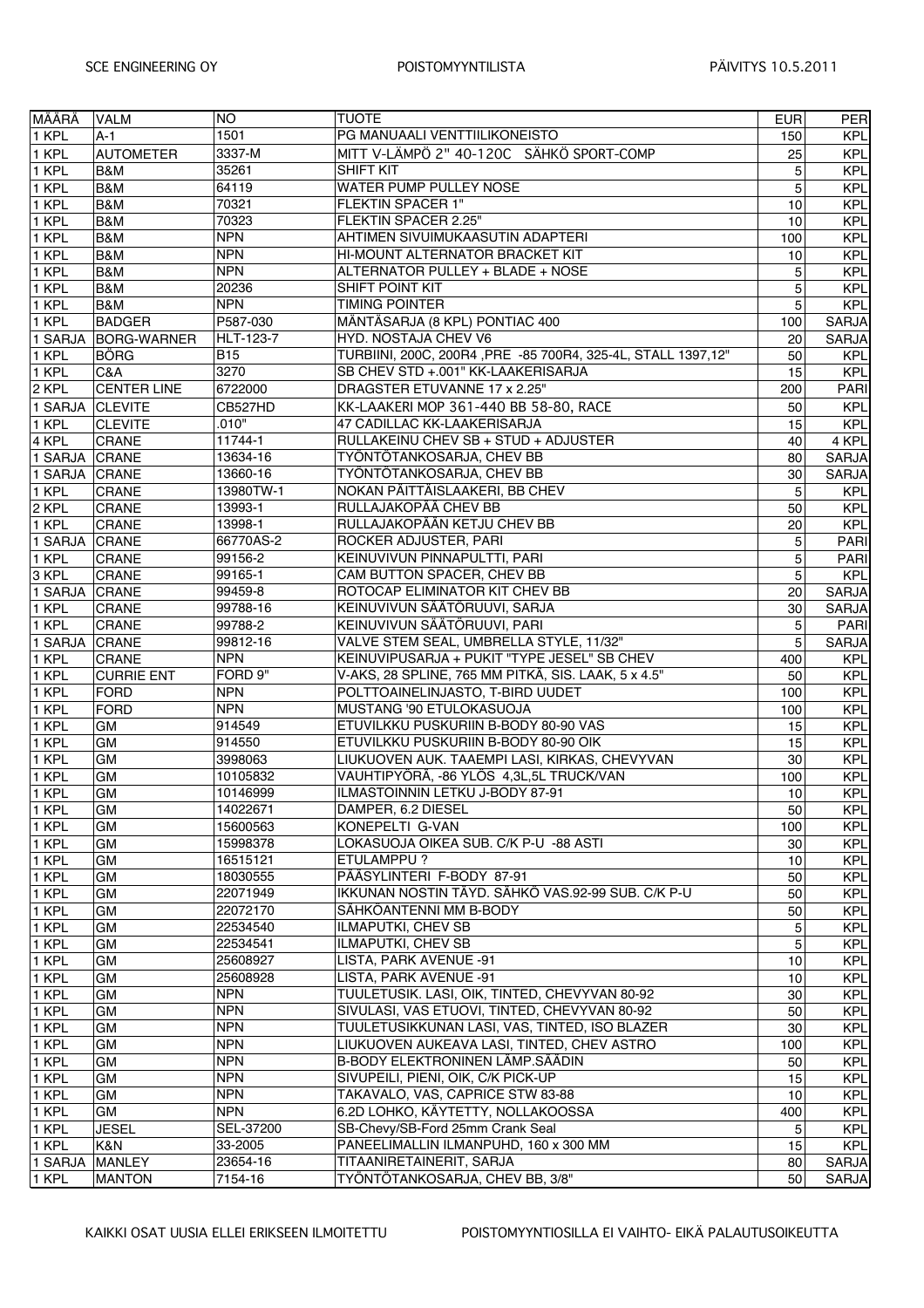| lmäärä  | VALM               | <b>NO</b>        | <b>TUOTE</b>                                                 | EUR             | PER          |
|---------|--------------------|------------------|--------------------------------------------------------------|-----------------|--------------|
| 1 KPL   | $A-1$              | 1501             | PG MANUAALI VENTTIILIKONEISTO                                | 150             | <b>KPL</b>   |
| 1 KPL   | <b>AUTOMETER</b>   | 3337-M           | MITT V-LÄMPÖ 2" 40-120C SÄHKÖ SPORT-COMP                     | 25              | <b>KPL</b>   |
| 1 KPL   | B&M                | 35261            | <b>SHIFT KIT</b>                                             | 5               | <b>KPL</b>   |
| 1 KPL   | B&M                | 64119            | WATER PUMP PULLEY NOSE                                       | 5               | <b>KPL</b>   |
| 1 KPL   | B&M                | 70321            | FLEKTIN SPACER 1"                                            | 10              | <b>KPL</b>   |
| 1 KPL   | <b>B&amp;M</b>     | 70323            | FLEKTIN SPACER 2.25"                                         | 10 <sup>1</sup> | <b>KPL</b>   |
| 1 KPL   | B&M                | <b>NPN</b>       | AHTIMEN SIVUIMUKAASUTIN ADAPTERI                             | 100             | <b>KPL</b>   |
| 1 KPL   | B&M                | <b>NPN</b>       | HI-MOUNT ALTERNATOR BRACKET KIT                              | 10              | <b>KPL</b>   |
| 1 KPL   | B&M                | <b>NPN</b>       | ALTERNATOR PULLEY + BLADE + NOSE                             | 5               | <b>KPL</b>   |
| 1 KPL   | B&M                | 20236            | SHIFT POINT KIT                                              | 5               | <b>KPL</b>   |
| 1 KPL   | B&M                | <b>NPN</b>       | <b>TIMING POINTER</b>                                        | 5 <sup>1</sup>  | <b>KPL</b>   |
| 1 KPL   | <b>BADGER</b>      | P587-030         | MÄNTÄSARJA (8 KPL) PONTIAC 400                               | 100             | <b>SARJA</b> |
| 1 SARJA | BORG-WARNER        | <b>HLT-123-7</b> | HYD. NOSTAJA CHEV V6                                         | 20              | <b>SARJA</b> |
| 1 KPL   | <b>BÖRG</b>        | <b>B15</b>       | TURBIINI, 200C, 200R4, PRE -85 700R4, 325-4L, STALL 1397,12" | 50              | <b>KPL</b>   |
| 1 KPL   | C&A                | 3270             | SB CHEV STD +.001" KK-LAAKERISARJA                           | 15              | <b>KPL</b>   |
| 2 KPL   | <b>CENTER LINE</b> | 6722000          | DRAGSTER ETUVANNE 17 x 2.25"                                 | 200             | <b>PARI</b>  |
| 1 SARJA | <b>CLEVITE</b>     | CB527HD          | KK-LAAKERI MOP 361-440 BB 58-80, RACE                        | 50              | <b>KPL</b>   |
| 1 KPL   | <b>CLEVITE</b>     | .010"            | 47 CADILLAC KK-LAAKERISARJA                                  | 15              | <b>KPL</b>   |
| 4 KPL   | CRANE              | 11744-1          | RULLAKEINU CHEV SB + STUD + ADJUSTER                         | 40              | 4 KPL        |
| 1 SARJA | <b>CRANE</b>       | 13634-16         | TYÖNTÖTANKOSARJA, CHEV BB                                    | 80              | <b>SARJA</b> |
| 1 SARJA | <b>CRANE</b>       | 13660-16         | TYÖNTÖTANKOSARJA, CHEV BB                                    | 30              | <b>SARJA</b> |
| 1 KPL   | CRANE              | 13980TW-1        | NOKAN PÄITTÄISLAAKERI, BB CHEV                               | 5               | <b>KPL</b>   |
| 2 KPL   | CRANE              | 13993-1          | RULLAJAKOPÄÄ CHEV BB                                         | 50              | <b>KPL</b>   |
| 1 KPL   | CRANE              | 13998-1          | RULLAJAKOPÄÄN KETJU CHEV BB                                  | 20 <sup>1</sup> | <b>KPL</b>   |
| 1 SARJA | CRANE              | 66770AS-2        | ROCKER ADJUSTER, PARI                                        | 5 <sup>1</sup>  | PARI         |
| 1 KPL   | CRANE              | 99156-2          | KEINUVIVUN PINNAPULTTI, PARI                                 | 5 <sup>1</sup>  | PARI         |
| 3 KPL   | <b>CRANE</b>       | 99165-1          | CAM BUTTON SPACER, CHEV BB                                   | 5 <sup>1</sup>  | <b>KPL</b>   |
| 1 SARJA | CRANE              | 99459-8          | ROTOCAP ELIMINATOR KIT CHEV BB                               | 20              | <b>SARJA</b> |
| 1 KPL   | CRANE              | 99788-16         | KEINUVIVUN SÄÄTÖRUUVI, SARJA                                 | 30 <sup>°</sup> | <b>SARJA</b> |
| 1 KPL   | CRANE              | 99788-2          | KEINUVIVUN SÄÄTÖRUUVI, PARI                                  | 5 <sup>5</sup>  | PARI         |
| 1 SARJA | <b>CRANE</b>       | 99812-16         | VALVE STEM SEAL, UMBRELLA STYLE, 11/32"                      | 5 <sup>1</sup>  | <b>SARJA</b> |
| 1 KPL   | CRANE              | <b>NPN</b>       | KEINUVIPUSARJA + PUKIT "TYPE JESEL" SB CHEV                  | 400             | <b>KPL</b>   |
| 1 KPL   | <b>CURRIE ENT</b>  | FORD 9"          | V-AKS, 28 SPLINE, 765 MM PITKÄ, SIS. LAAK, 5 x 4.5"          | 50              | <b>KPL</b>   |
| 1 KPL   | FORD               | <b>NPN</b>       | POLTTOAINELINJASTO, T-BIRD UUDET                             | 100             | <b>KPL</b>   |
| 1 KPL   | FORD               | <b>NPN</b>       | MUSTANG '90 ETULOKASUOJA                                     | 100             | <b>KPL</b>   |
| 1 KPL   | <b>GM</b>          | 914549           | ETUVILKKU PUSKURIIN B-BODY 80-90 VAS                         | 15              | <b>KPL</b>   |
| 1 KPL   | <b>GM</b>          | 914550           | ETUVILKKU PUSKURIIN B-BODY 80-90 OIK                         | 15              | <b>KPL</b>   |
| 1 KPL   | GM                 | 3998063          | LIUKUOVEN AUK. TAAEMPI LASI, KIRKAS, CHEVYVAN                | 30 <sup>°</sup> | <b>KPL</b>   |
| 1 KPL   | GM                 | 10105832         | VAUHTIPYÖRÄ, -86 YLÖS 4,3L,5L TRUCK/VAN                      | 100             | <b>KPL</b>   |
| 1 KPL   | <b>GM</b>          | 10146999         | ILMASTOINNIN LETKU J-BODY 87-91                              | 10              | <b>KPL</b>   |
| 1 KPL   | GM                 | 14022671         | DAMPER, 6.2 DIESEL                                           | 50              | <b>KPL</b>   |
| 1 KPL   | GM                 | 15600563         | KONEPELTI G-VAN                                              | 100             | <b>KPL</b>   |
| 1 KPL   | GM                 | 15998378         | LOKASUOJA OIKEA SUB. C/K P-U -88 ASTI                        | 30 <sub>0</sub> | <b>KPL</b>   |
| 1 KPL   | GM                 | 16515121         | <b>ETULAMPPU?</b>                                            | 10              | <b>KPL</b>   |
| 1 KPL   | <b>GM</b>          | 18030555         | PÄÄSYLINTERI F-BODY 87-91                                    | 50              | <b>KPL</b>   |
| 1 KPL   | GM                 | 22071949         | IKKUNAN NOSTIN TÄYD. SÄHKÖ VAS 92-99 SUB. C/K P-U            | 50              | <b>KPL</b>   |
| 1 KPL   | <b>GM</b>          | 22072170         | SÄHKÖANTENNI MM B-BODY                                       | 50              | <b>KPL</b>   |
| 1 KPL   | GM                 | 22534540         | ILMAPUTKI, CHEV SB                                           | 5 <sup>1</sup>  | <b>KPL</b>   |
| 1 KPL   | GM                 | 22534541         | ILMAPUTKI, CHEV SB                                           | 5 <sup>1</sup>  | <b>KPL</b>   |
| 1 KPL   | <b>GM</b>          | 25608927         | LISTA, PARK AVENUE -91                                       | 10              | <b>KPL</b>   |
| 1 KPL   | GM                 | 25608928         | LISTA, PARK AVENUE -91                                       | 10              | <b>KPL</b>   |
| 1 KPL   | <b>GM</b>          | <b>NPN</b>       | TUULETUSIK. LASI, OIK, TINTED, CHEVYVAN 80-92                | 30 <sub>0</sub> | <b>KPL</b>   |
| 1 KPL   | GM                 | <b>NPN</b>       | SIVULASI, VAS ETUOVI, TINTED, CHEVYVAN 80-92                 | 50              | <b>KPL</b>   |
| 1 KPL   | GM                 | <b>NPN</b>       | TUULETUSIKKUNAN LASI, VAS, TINTED, ISO BLAZER                | 30 <sup>°</sup> | <b>KPL</b>   |
| 1 KPL   | <b>GM</b>          | <b>NPN</b>       | LIUKUOVEN AUKEAVA LASI, TINTED, CHEV ASTRO                   | 100             | <b>KPL</b>   |
| 1 KPL   | GM                 | <b>NPN</b>       | B-BODY ELEKTRONINEN LÄMP.SÄÄDIN                              | 50              | <b>KPL</b>   |
| 1 KPL   | <b>GM</b>          | <b>NPN</b>       | SIVUPEILI, PIENI, OIK, C/K PICK-UP                           | 15              | <b>KPL</b>   |
| 1 KPL   | <b>GM</b>          | <b>NPN</b>       | TAKAVALO, VAS, CAPRICE STW 83-88                             | 10              | <b>KPL</b>   |
| 1 KPL   | <b>GM</b>          | <b>NPN</b>       | 6.2D LOHKO, KÄYTETTY, NOLLAKOOSSA                            | 400             | <b>KPL</b>   |
| 1 KPL   | <b>JESEL</b>       | SEL-37200        | SB-Chevy/SB-Ford 25mm Crank Seal                             | 5 <sup>1</sup>  | <b>KPL</b>   |
| 1 KPL   | K&N                | 33-2005          | PANEELIMALLIN ILMANPUHD, 160 x 300 MM                        | 15              | <b>KPL</b>   |
| 1 SARJA | MANLEY             | 23654-16         | TITAANIRETAINERIT, SARJA                                     | 80              | SARJA        |
| 1 KPL   | <b>MANTON</b>      | 7154-16          | TYÖNTÖTANKOSARJA, CHEV BB, 3/8"                              | 50              | <b>SARJA</b> |